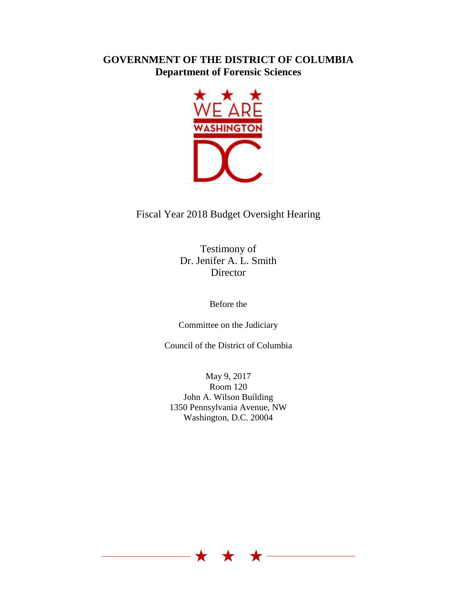## **GOVERNMENT OF THE DISTRICT OF COLUMBIA Department of Forensic Sciences**



## Fiscal Year 2018 Budget Oversight Hearing

Testimony of Dr. Jenifer A. L. Smith **Director** 

Before the

Committee on the Judiciary

Council of the District of Columbia

May 9, 2017 Room 120 John A. Wilson Building 1350 Pennsylvania Avenue, NW Washington, D.C. 20004

 $\star$   $\star$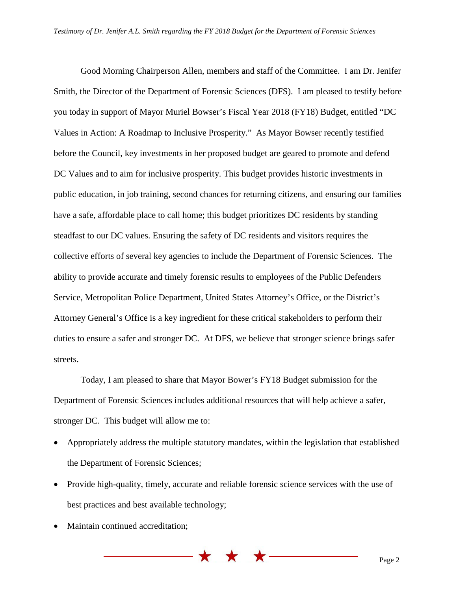Good Morning Chairperson Allen, members and staff of the Committee. I am Dr. Jenifer Smith, the Director of the Department of Forensic Sciences (DFS). I am pleased to testify before you today in support of Mayor Muriel Bowser's Fiscal Year 2018 (FY18) Budget, entitled "DC Values in Action: A Roadmap to Inclusive Prosperity." As Mayor Bowser recently testified before the Council, key investments in her proposed budget are geared to promote and defend DC Values and to aim for inclusive prosperity. This budget provides historic investments in public education, in job training, second chances for returning citizens, and ensuring our families have a safe, affordable place to call home; this budget prioritizes DC residents by standing steadfast to our DC values. Ensuring the safety of DC residents and visitors requires the collective efforts of several key agencies to include the Department of Forensic Sciences. The ability to provide accurate and timely forensic results to employees of the Public Defenders Service, Metropolitan Police Department, United States Attorney's Office, or the District's Attorney General's Office is a key ingredient for these critical stakeholders to perform their duties to ensure a safer and stronger DC. At DFS, we believe that stronger science brings safer streets.

Today, I am pleased to share that Mayor Bower's FY18 Budget submission for the Department of Forensic Sciences includes additional resources that will help achieve a safer, stronger DC. This budget will allow me to:

- Appropriately address the multiple statutory mandates, within the legislation that established the Department of Forensic Sciences;
- Provide high-quality, timely, accurate and reliable forensic science services with the use of best practices and best available technology;

\* \* \*

• Maintain continued accreditation;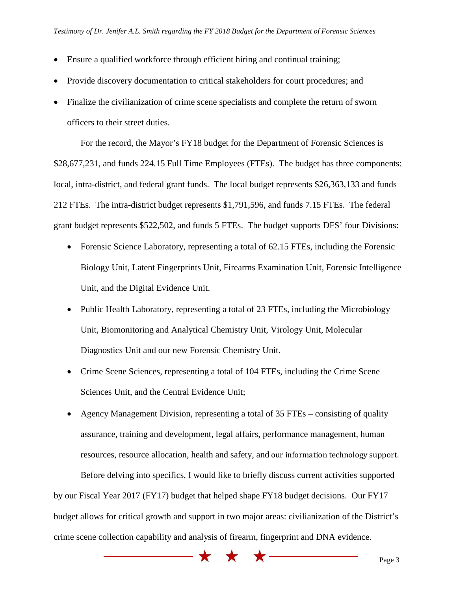- Ensure a qualified workforce through efficient hiring and continual training;
- Provide discovery documentation to critical stakeholders for court procedures; and
- Finalize the civilianization of crime scene specialists and complete the return of sworn officers to their street duties.

For the record, the Mayor's FY18 budget for the Department of Forensic Sciences is \$28,677,231, and funds 224.15 Full Time Employees (FTEs). The budget has three components: local, intra-district, and federal grant funds. The local budget represents \$26,363,133 and funds 212 FTEs. The intra-district budget represents \$1,791,596, and funds 7.15 FTEs. The federal grant budget represents \$522,502, and funds 5 FTEs. The budget supports DFS' four Divisions:

- Forensic Science Laboratory, representing a total of 62.15 FTEs, including the Forensic Biology Unit, Latent Fingerprints Unit, Firearms Examination Unit, Forensic Intelligence Unit, and the Digital Evidence Unit.
- Public Health Laboratory, representing a total of 23 FTEs, including the Microbiology Unit, Biomonitoring and Analytical Chemistry Unit, Virology Unit, Molecular Diagnostics Unit and our new Forensic Chemistry Unit.
- Crime Scene Sciences, representing a total of 104 FTEs, including the Crime Scene Sciences Unit, and the Central Evidence Unit;

• Agency Management Division, representing a total of 35 FTEs – consisting of quality assurance, training and development, legal affairs, performance management, human resources, resource allocation, health and safety, and our information technology support. Before delving into specifics, I would like to briefly discuss current activities supported by our Fiscal Year 2017 (FY17) budget that helped shape FY18 budget decisions. Our FY17 budget allows for critical growth and support in two major areas: civilianization of the District's crime scene collection capability and analysis of firearm, fingerprint and DNA evidence.

 $\blacktriangledown$ 

 $\blacktriangledown$ 

 $\bigstar$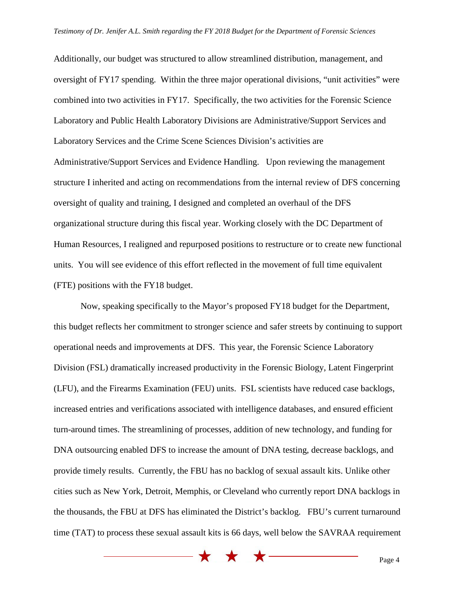Additionally, our budget was structured to allow streamlined distribution, management, and oversight of FY17 spending. Within the three major operational divisions, "unit activities" were combined into two activities in FY17. Specifically, the two activities for the Forensic Science Laboratory and Public Health Laboratory Divisions are Administrative/Support Services and Laboratory Services and the Crime Scene Sciences Division's activities are Administrative/Support Services and Evidence Handling. Upon reviewing the management structure I inherited and acting on recommendations from the internal review of DFS concerning oversight of quality and training, I designed and completed an overhaul of the DFS organizational structure during this fiscal year. Working closely with the DC Department of Human Resources, I realigned and repurposed positions to restructure or to create new functional units. You will see evidence of this effort reflected in the movement of full time equivalent (FTE) positions with the FY18 budget.

Now, speaking specifically to the Mayor's proposed FY18 budget for the Department, this budget reflects her commitment to stronger science and safer streets by continuing to support operational needs and improvements at DFS. This year, the Forensic Science Laboratory Division (FSL) dramatically increased productivity in the Forensic Biology, Latent Fingerprint (LFU), and the Firearms Examination (FEU) units. FSL scientists have reduced case backlogs, increased entries and verifications associated with intelligence databases, and ensured efficient turn-around times. The streamlining of processes, addition of new technology, and funding for DNA outsourcing enabled DFS to increase the amount of DNA testing, decrease backlogs, and provide timely results. Currently, the FBU has no backlog of sexual assault kits. Unlike other cities such as New York, Detroit, Memphis, or Cleveland who currently report DNA backlogs in the thousands, the FBU at DFS has eliminated the District's backlog. FBU's current turnaround time (TAT) to process these sexual assault kits is 66 days, well below the SAVRAA requirement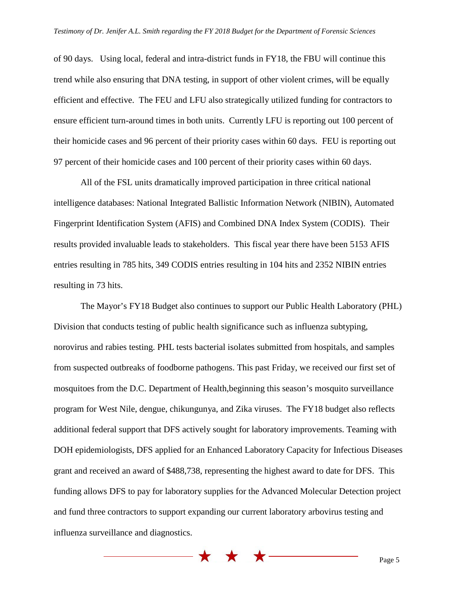of 90 days. Using local, federal and intra-district funds in FY18, the FBU will continue this trend while also ensuring that DNA testing, in support of other violent crimes, will be equally efficient and effective. The FEU and LFU also strategically utilized funding for contractors to ensure efficient turn-around times in both units. Currently LFU is reporting out 100 percent of their homicide cases and 96 percent of their priority cases within 60 days. FEU is reporting out 97 percent of their homicide cases and 100 percent of their priority cases within 60 days.

All of the FSL units dramatically improved participation in three critical national intelligence databases: National Integrated Ballistic Information Network (NIBIN), Automated Fingerprint Identification System (AFIS) and Combined DNA Index System (CODIS). Their results provided invaluable leads to stakeholders. This fiscal year there have been 5153 AFIS entries resulting in 785 hits, 349 CODIS entries resulting in 104 hits and 2352 NIBIN entries resulting in 73 hits.

The Mayor's FY18 Budget also continues to support our Public Health Laboratory (PHL) Division that conducts testing of public health significance such as influenza subtyping, norovirus and rabies testing. PHL tests bacterial isolates submitted from hospitals, and samples from suspected outbreaks of foodborne pathogens. This past Friday, we received our first set of mosquitoes from the D.C. Department of Health,beginning this season's mosquito surveillance program for West Nile, dengue, chikungunya, and Zika viruses. The FY18 budget also reflects additional federal support that DFS actively sought for laboratory improvements. Teaming with DOH epidemiologists, DFS applied for an Enhanced Laboratory Capacity for Infectious Diseases grant and received an award of \$488,738, representing the highest award to date for DFS. This funding allows DFS to pay for laboratory supplies for the Advanced Molecular Detection project and fund three contractors to support expanding our current laboratory arbovirus testing and influenza surveillance and diagnostics.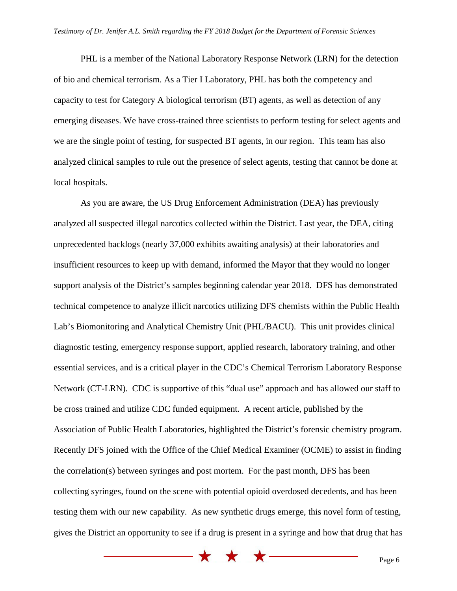PHL is a member of the National Laboratory Response Network (LRN) for the detection of bio and chemical terrorism. As a Tier I Laboratory, PHL has both the competency and capacity to test for Category A biological terrorism (BT) agents, as well as detection of any emerging diseases. We have cross-trained three scientists to perform testing for select agents and we are the single point of testing, for suspected BT agents, in our region. This team has also analyzed clinical samples to rule out the presence of select agents, testing that cannot be done at local hospitals.

As you are aware, the US Drug Enforcement Administration (DEA) has previously analyzed all suspected illegal narcotics collected within the District. Last year, the DEA, citing unprecedented backlogs (nearly 37,000 exhibits awaiting analysis) at their laboratories and insufficient resources to keep up with demand, informed the Mayor that they would no longer support analysis of the District's samples beginning calendar year 2018. DFS has demonstrated technical competence to analyze illicit narcotics utilizing DFS chemists within the Public Health Lab's Biomonitoring and Analytical Chemistry Unit (PHL/BACU). This unit provides clinical diagnostic testing, emergency response support, applied research, laboratory training, and other essential services, and is a critical player in the CDC's Chemical Terrorism Laboratory Response Network (CT-LRN). CDC is supportive of this "dual use" approach and has allowed our staff to be cross trained and utilize CDC funded equipment. A recent article, published by the Association of Public Health Laboratories, highlighted the District's forensic chemistry program. Recently DFS joined with the Office of the Chief Medical Examiner (OCME) to assist in finding the correlation(s) between syringes and post mortem. For the past month, DFS has been collecting syringes, found on the scene with potential opioid overdosed decedents, and has been testing them with our new capability. As new synthetic drugs emerge, this novel form of testing, gives the District an opportunity to see if a drug is present in a syringe and how that drug that has

\* \* \* \*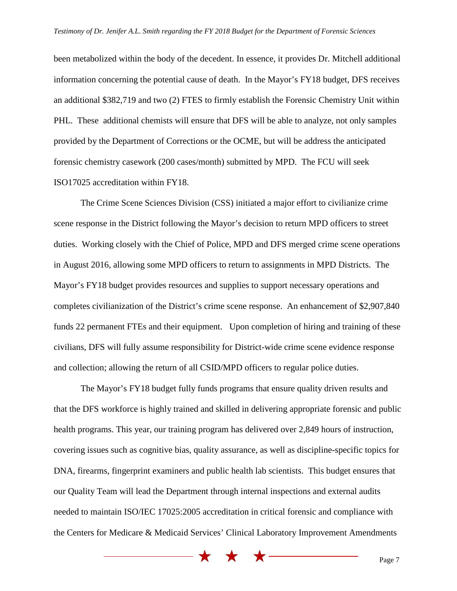been metabolized within the body of the decedent. In essence, it provides Dr. Mitchell additional information concerning the potential cause of death. In the Mayor's FY18 budget, DFS receives an additional \$382,719 and two (2) FTES to firmly establish the Forensic Chemistry Unit within PHL. These additional chemists will ensure that DFS will be able to analyze, not only samples provided by the Department of Corrections or the OCME, but will be address the anticipated forensic chemistry casework (200 cases/month) submitted by MPD. The FCU will seek ISO17025 accreditation within FY18.

The Crime Scene Sciences Division (CSS) initiated a major effort to civilianize crime scene response in the District following the Mayor's decision to return MPD officers to street duties. Working closely with the Chief of Police, MPD and DFS merged crime scene operations in August 2016, allowing some MPD officers to return to assignments in MPD Districts. The Mayor's FY18 budget provides resources and supplies to support necessary operations and completes civilianization of the District's crime scene response. An enhancement of \$2,907,840 funds 22 permanent FTEs and their equipment. Upon completion of hiring and training of these civilians, DFS will fully assume responsibility for District-wide crime scene evidence response and collection; allowing the return of all CSID/MPD officers to regular police duties.

The Mayor's FY18 budget fully funds programs that ensure quality driven results and that the DFS workforce is highly trained and skilled in delivering appropriate forensic and public health programs. This year, our training program has delivered over 2,849 hours of instruction, covering issues such as cognitive bias, quality assurance, as well as discipline-specific topics for DNA, firearms, fingerprint examiners and public health lab scientists. This budget ensures that our Quality Team will lead the Department through internal inspections and external audits needed to maintain ISO/IEC 17025:2005 accreditation in critical forensic and compliance with the Centers for Medicare & Medicaid Services' Clinical Laboratory Improvement Amendments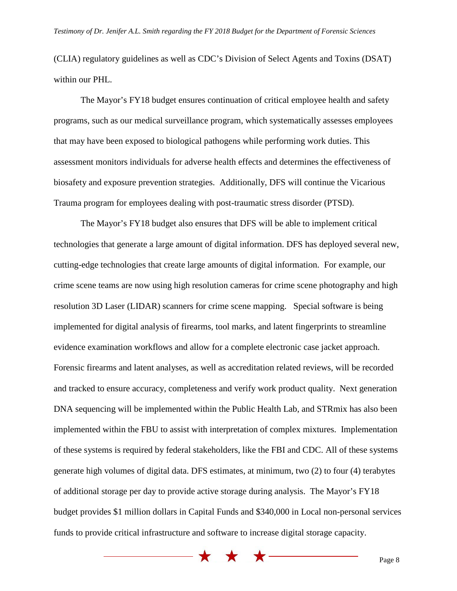(CLIA) regulatory guidelines as well as CDC's Division of Select Agents and Toxins (DSAT) within our PHL.

The Mayor's FY18 budget ensures continuation of critical employee health and safety programs, such as our medical surveillance program, which systematically assesses employees that may have been exposed to biological pathogens while performing work duties. This assessment monitors individuals for adverse health effects and determines the effectiveness of biosafety and exposure prevention strategies. Additionally, DFS will continue the Vicarious Trauma program for employees dealing with post-traumatic stress disorder (PTSD).

The Mayor's FY18 budget also ensures that DFS will be able to implement critical technologies that generate a large amount of digital information. DFS has deployed several new, cutting-edge technologies that create large amounts of digital information. For example, our crime scene teams are now using high resolution cameras for crime scene photography and high resolution 3D Laser (LIDAR) scanners for crime scene mapping. Special software is being implemented for digital analysis of firearms, tool marks, and latent fingerprints to streamline evidence examination workflows and allow for a complete electronic case jacket approach. Forensic firearms and latent analyses, as well as accreditation related reviews, will be recorded and tracked to ensure accuracy, completeness and verify work product quality. Next generation DNA sequencing will be implemented within the Public Health Lab, and STRmix has also been implemented within the FBU to assist with interpretation of complex mixtures. Implementation of these systems is required by federal stakeholders, like the FBI and CDC. All of these systems generate high volumes of digital data. DFS estimates, at minimum, two (2) to four (4) terabytes of additional storage per day to provide active storage during analysis. The Mayor's FY18 budget provides \$1 million dollars in Capital Funds and \$340,000 in Local non-personal services funds to provide critical infrastructure and software to increase digital storage capacity.

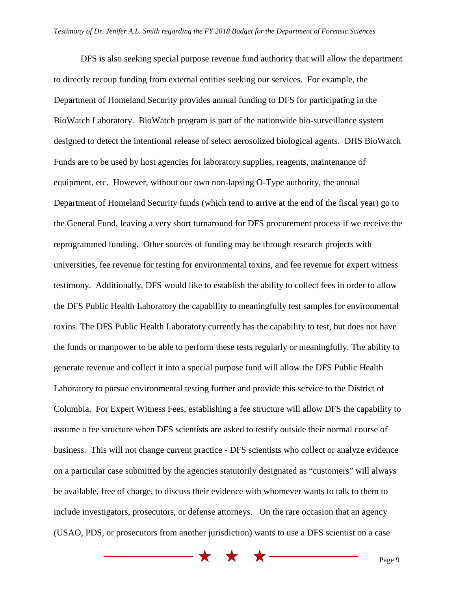DFS is also seeking special purpose revenue fund authority that will allow the department to directly recoup funding from external entities seeking our services. For example, the Department of Homeland Security provides annual funding to DFS for participating in the BioWatch Laboratory. BioWatch program is part of the nationwide bio-surveillance system designed to detect the intentional release of select aerosolized biological agents. DHS BioWatch Funds are to be used by host agencies for laboratory supplies, reagents, maintenance of equipment, etc. However, without our own non-lapsing O-Type authority, the annual Department of Homeland Security funds (which tend to arrive at the end of the fiscal year) go to the General Fund, leaving a very short turnaround for DFS procurement process if we receive the reprogrammed funding. Other sources of funding may be through research projects with universities, fee revenue for testing for environmental toxins, and fee revenue for expert witness testimony. Additionally, DFS would like to establish the ability to collect fees in order to allow the DFS Public Health Laboratory the capability to meaningfully test samples for environmental toxins. The DFS Public Health Laboratory currently has the capability to test, but does not have the funds or manpower to be able to perform these tests regularly or meaningfully. The ability to generate revenue and collect it into a special purpose fund will allow the DFS Public Health Laboratory to pursue environmental testing further and provide this service to the District of Columbia. For Expert Witness Fees, establishing a fee structure will allow DFS the capability to assume a fee structure when DFS scientists are asked to testify outside their normal course of business. This will not change current practice - DFS scientists who collect or analyze evidence on a particular case submitted by the agencies statutorily designated as "customers" will always be available, free of charge, to discuss their evidence with whomever wants to talk to them to include investigators, prosecutors, or defense attorneys. On the rare occasion that an agency (USAO, PDS, or prosecutors from another jurisdiction) wants to use a DFS scientist on a case